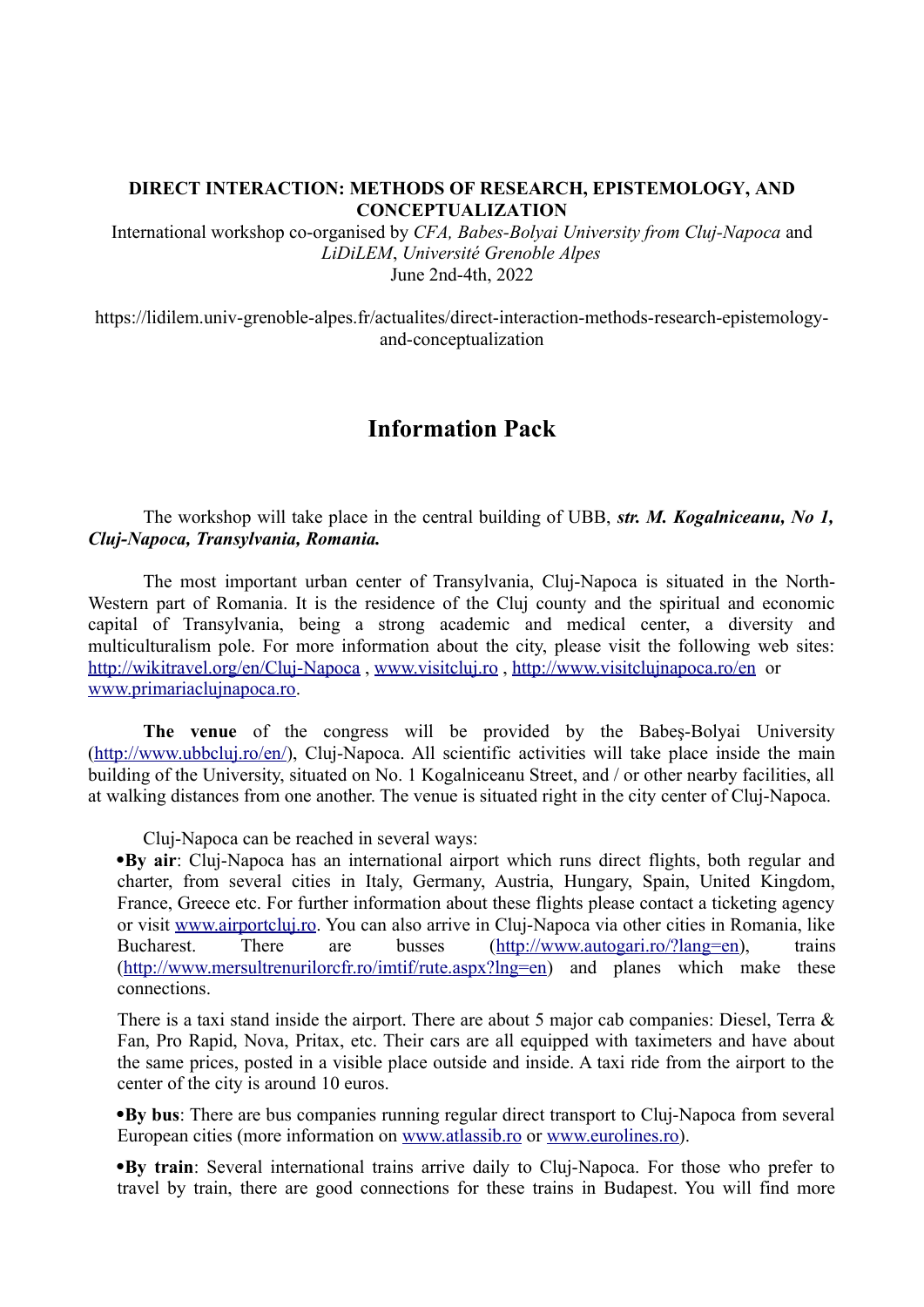## **DIRECT INTERACTION: METHODS OF RESEARCH, EPISTEMOLOGY, AND CONCEPTUALIZATION**

International workshop co-organised by *CFA, Babes-Bolyai University from Cluj-Napoca* and *LiDiLEM*, *Université Grenoble Alpes* June 2nd-4th, 2022

https://lidilem.univ-grenoble-alpes.fr/actualites/direct-interaction-methods-research-epistemologyand-conceptualization

## **Information Pack**

The workshop will take place in the central building of UBB, *str. M. Kogalniceanu, No 1, Cluj-Napoca, Transylvania, Romania.*

The most important urban center of Transylvania, Cluj-Napoca is situated in the North-Western part of Romania. It is the residence of the Cluj county and the spiritual and economic capital of Transylvania, being a strong academic and medical center, a diversity and multiculturalism pole. For more information about the city, please visit the following web sites: <http://wikitravel.org/en/Cluj-Napoca> , [www.visitcluj.ro](http://www.visitcluj.ro/) ,<http://www.visitclujnapoca.ro/en> or [www.primariaclujnapoca.ro.](http://www.primariaclujnapoca.ro/)

**The venue** of the congress will be provided by the Babeş-Bolyai University ([http://www.ubbcluj.ro/en/\)](http://www.ubbcluj.ro/en/), Cluj-Napoca. All scientific activities will take place inside the main building of the University, situated on No. 1 Kogalniceanu Street, and / or other nearby facilities, all at walking distances from one another. The venue is situated right in the city center of Cluj-Napoca.

Cluj-Napoca can be reached in several ways:

·**By air**: Cluj-Napoca has an international airport which runs direct flights, both regular and charter, from several cities in Italy, Germany, Austria, Hungary, Spain, United Kingdom, France, Greece etc. For further information about these flights please contact a ticketing agency or visit [www.airportcluj.ro](http://www.airportcluj.ro/). You can also arrive in Cluj-Napoca via other cities in Romania, like Bucharest. There are busses (<http://www.autogari.ro/?lang=en>), trains [\(http://www.mersultrenurilorcfr.ro/imtif/rute.aspx?lng=en](http://www.mersultrenurilorcfr.ro/imtif/rute.aspx?lng=en)) and planes which make these connections.

There is a taxi stand inside the airport. There are about 5 major cab companies: Diesel, Terra & Fan, Pro Rapid, Nova, Pritax, etc. Their cars are all equipped with taximeters and have about the same prices, posted in a visible place outside and inside. A taxi ride from the airport to the center of the city is around 10 euros.

·**By bus**: There are bus companies running regular direct transport to Cluj-Napoca from several European cities (more information on [www.atlassib.ro](http://www.atlassib.ro/) or [www.eurolines.ro\)](http://www.eurolines.ro/).

·**By train**: Several international trains arrive daily to Cluj-Napoca. For those who prefer to travel by train, there are good connections for these trains in Budapest. You will find more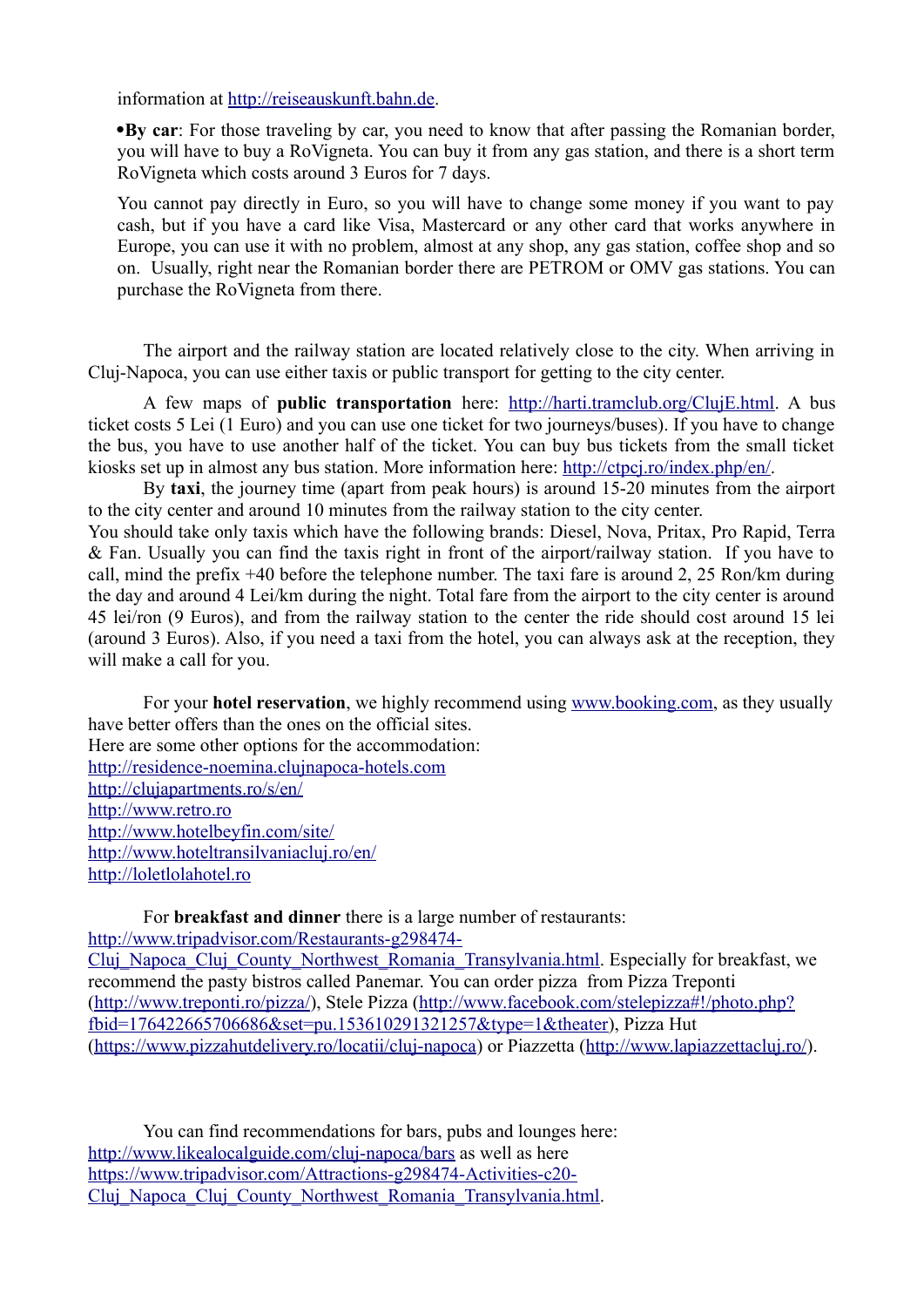information at [http://reiseauskunft.bahn.de](http://reiseauskunft.bahn.de/).

·**By car**: For those traveling by car, you need to know that after passing the Romanian border, you will have to buy a RoVigneta. You can buy it from any gas station, and there is a short term RoVigneta which costs around 3 Euros for 7 days.

You cannot pay directly in Euro, so you will have to change some money if you want to pay cash, but if you have a card like Visa, Mastercard or any other card that works anywhere in Europe, you can use it with no problem, almost at any shop, any gas station, coffee shop and so on. Usually, right near the Romanian border there are PETROM or OMV gas stations. You can purchase the RoVigneta from there.

The airport and the railway station are located relatively close to the city. When arriving in Cluj-Napoca, you can use either taxis or public transport for getting to the city center.

A few maps of **public transportation** here:<http://harti.tramclub.org/ClujE.html>. A bus ticket costs 5 Lei (1 Euro) and you can use one ticket for two journeys/buses). If you have to change the bus, you have to use another half of the ticket. You can buy bus tickets from the small ticket kiosks set up in almost any bus station. More information here: [http://ctpcj.ro/index.php/en/.](http://ctpcj.ro/index.php/en/)

By **taxi**, the journey time (apart from peak hours) is around 15-20 minutes from the airport to the city center and around 10 minutes from the railway station to the city center.

You should take only taxis which have the following brands: Diesel, Nova, Pritax, Pro Rapid, Terra & Fan. Usually you can find the taxis right in front of the airport/railway station. If you have to call, mind the prefix +40 before the telephone number. The taxi fare is around 2, 25 Ron/km during the day and around 4 Lei/km during the night. Total fare from the airport to the city center is around 45 lei/ron (9 Euros), and from the railway station to the center the ride should cost around 15 lei (around 3 Euros). Also, if you need a taxi from the hotel, you can always ask at the reception, they will make a call for you.

For your **hotel reservation**, we highly recommend using [www.booking.com,](http://www.booking.com/) as they usually have better offers than the ones on the official sites. Here are some other options for the accommodation: [http://residence-noemina.clujnapoca-hotels.com](http://residence-noemina.clujnapoca-hotels.com/) <http://clujapartments.ro/s/en/> [http://www.retro.ro](http://www.retro.ro/) <http://www.hotelbeyfin.com/site/> <http://www.hoteltransilvaniacluj.ro/en/> [http://loletlolahotel.ro](http://loletlolahotel.ro/)

For **breakfast and dinner** there is a large number of restaurants:

[http://www.tripadvisor.com/Restaurants-g298474-](http://www.tripadvisor.com/Restaurants-g298474-Cluj_Napoca_Cluj_County_Northwest_Romania_Transylvania.html)

[Cluj\\_Napoca\\_Cluj\\_County\\_Northwest\\_Romania\\_Transylvania.html.](http://www.tripadvisor.com/Restaurants-g298474-Cluj_Napoca_Cluj_County_Northwest_Romania_Transylvania.html) Especially for breakfast, we recommend the pasty bistros called Panemar. You can order pizza from Pizza Treponti (<http://www.treponti.ro/pizza/>), Stele Pizza ([http://www.facebook.com/stelepizza#!/photo.php?](http://www.facebook.com/stelepizza#!/photo.php?fbid=176422665706686&set=pu.153610291321257&type=1&theater) [fbid=176422665706686&set=pu.153610291321257&type=1&theater](http://www.facebook.com/stelepizza#!/photo.php?fbid=176422665706686&set=pu.153610291321257&type=1&theater)), Pizza Hut (<https://www.pizzahutdelivery.ro/locatii/cluj-napoca>) or Piazzetta [\(http://www.lapiazzettacluj.ro/](http://www.lapiazzettacluj.ro/)).

You can find recommendations for bars, pubs and lounges here: <http://www.likealocalguide.com/cluj-napoca/bars> as well as here [https://www.tripadvisor.com/Attractions-g298474-Activities-c20-](https://www.tripadvisor.com/Attractions-g298474-Activities-c20-Cluj_Napoca_Cluj_County_Northwest_Romania_Transylvania.html) Cluj Napoca Cluj County Northwest Romania Transylvania.html.